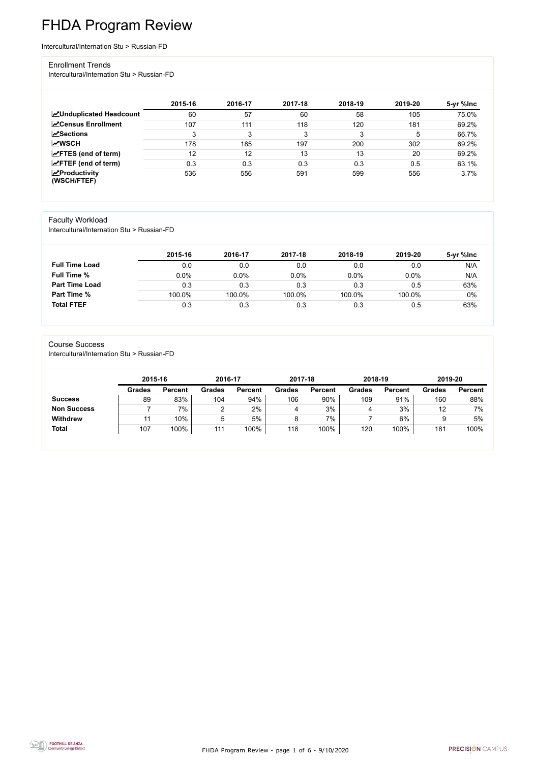FHDA Program Review - page 1 of 6 - 9/10/2020



# FHDA Program Review

Intercultural/Internation Stu > Russian-FD

#### Enrollment Trends

Intercultural/Internation Stu > Russian-FD

|                                    | 2015-16 | 2016-17 | 2017-18 | 2018-19 | 2019-20 | 5-yr %lnc |
|------------------------------------|---------|---------|---------|---------|---------|-----------|
| <b>ZUnduplicated Headcount</b>     | 60      | 57      | 60      | 58      | 105     | 75.0%     |
| <b>ZCensus Enrollment</b>          | 107     | 111     | 118     | 120     | 181     | 69.2%     |
| <b>ZSections</b>                   | 3       | 3       | 3       | 3       | 5       | 66.7%     |
| <b>MWSCH</b>                       | 178     | 185     | 197     | 200     | 302     | 69.2%     |
| $\angle$ FTES (end of term)        | 12      | 12      | 13      | 13      | 20      | 69.2%     |
| $\angle$ FTEF (end of term)        | 0.3     | 0.3     | 0.3     | 0.3     | 0.5     | 63.1%     |
| $\chi$ Productivity<br>(WSCH/FTEF) | 536     | 556     | 591     | 599     | 556     | 3.7%      |

### Faculty Workload

Intercultural/Internation Stu > Russian-FD

|                       | 2015-16 | 2016-17 | 2017-18 | 2018-19 | 2019-20 | 5-yr %lnc |
|-----------------------|---------|---------|---------|---------|---------|-----------|
| <b>Full Time Load</b> | 0.0     | 0.0     | 0.0     | 0.0     | 0.0     | N/A       |
| <b>Full Time %</b>    | 0.0%    | 0.0%    | $0.0\%$ | 0.0%    | 0.0%    | N/A       |
| <b>Part Time Load</b> | 0.3     | 0.3     | 0.3     | 0.3     | 0.5     | 63%       |
| <b>Part Time %</b>    | 100.0%  | 100.0%  | 100.0%  | 100.0%  | 100.0%  | $0\%$     |
| <b>Total FTEF</b>     | 0.3     | 0.3     | 0.3     | 0.3     | 0.5     | 63%       |

#### Course Success

Intercultural/Internation Stu > Russian-FD

| 2015-16       |                | 2016-17 |                | 2017-18       |                | 2018-19       |                | 2019-20       |                |
|---------------|----------------|---------|----------------|---------------|----------------|---------------|----------------|---------------|----------------|
| <b>Grades</b> | <b>Percent</b> | Grades  | <b>Percent</b> | <b>Grades</b> | <b>Percent</b> | <b>Grades</b> | <b>Percent</b> | <b>Grades</b> | <b>Percent</b> |
| 89            | 83%            | 104     | 94%            | 106           | 90%            | 109           | 91%            | 160           | 88%            |
|               | 7%             | ⌒       | $2\%$          |               | 3%             | 4             | 3%             |               | 7%             |
|               | $10\%$         | 5       | 5%             |               | 7%             |               | 6%             |               | 5%             |
| 107           | 100%           | 111     | 100%           | 118           | 100%           | 120           | 100%           | 181           | 100%           |
|               |                |         |                |               |                |               |                |               |                |

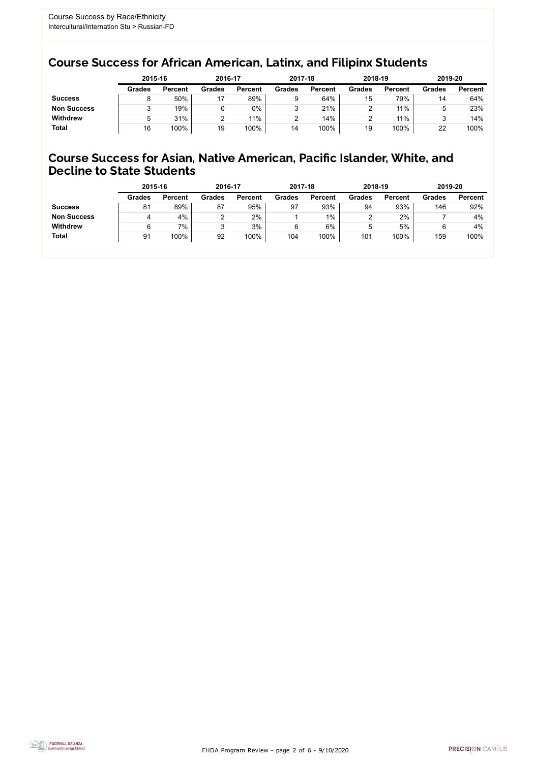FHDA Program Review - page 2 of 6 - 9/10/2020



### Course Success for African American, Latinx, and Filipinx Students

### Course Success for Asian, Native American, Pacific Islander, White, and Decline to State Students

|                    | 2015-16       |                | 2016-17       |                | 2017-18       |                | 2018-19       |                | 2019-20       |                |
|--------------------|---------------|----------------|---------------|----------------|---------------|----------------|---------------|----------------|---------------|----------------|
|                    | <b>Grades</b> | <b>Percent</b> | <b>Grades</b> | <b>Percent</b> | <b>Grades</b> | <b>Percent</b> | <b>Grades</b> | <b>Percent</b> | <b>Grades</b> | <b>Percent</b> |
| <b>Success</b>     |               | 50%            |               | 89%            |               | 64%            | 15            | 79%            | 14            | 64%            |
| <b>Non Success</b> |               | 19%            |               | $0\%$          | J             | 21%            |               | 11%            | ა             | 23%            |
| <b>Withdrew</b>    |               | 31%            |               | 11%            |               | 14%            |               | 11%            |               | 14%            |
| <b>Total</b>       | 16            | 100%           | 19            | 100%           | 14            | 100%           | 19            | 100%           | 22            | 100%           |

|                    | 2015-16       |                | 2016-17       |                | 2017-18       |                | 2018-19       |                | 2019-20       |                |
|--------------------|---------------|----------------|---------------|----------------|---------------|----------------|---------------|----------------|---------------|----------------|
|                    | <b>Grades</b> | <b>Percent</b> | <b>Grades</b> | <b>Percent</b> | <b>Grades</b> | <b>Percent</b> | <b>Grades</b> | <b>Percent</b> | <b>Grades</b> | <b>Percent</b> |
| <b>Success</b>     | 81            | 89%            | 87            | 95%            | 97            | 93%            | 94            | 93%            | 146           | 92%            |
| <b>Non Success</b> |               | 4%             |               | 2%             |               | $1\%$          |               | 2%             |               | 4%             |
| <b>Withdrew</b>    |               | 7%             |               | 3%             | 6             | 6%             | ხ             | 5%             |               | 4%             |
| <b>Total</b>       | 91            | 100%           | 92            | 100%           | 104           | 100%           | 101           | 100%           | 159           | 100%           |
|                    |               |                |               |                |               |                |               |                |               |                |

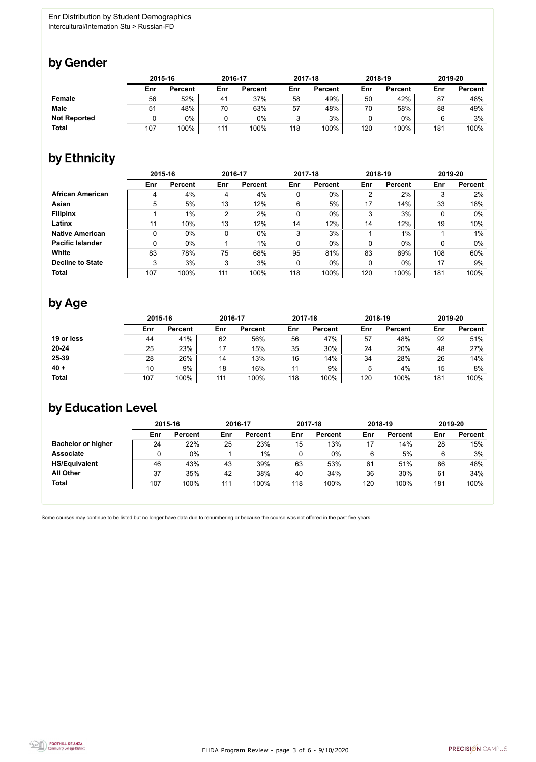

Some courses may continue to be listed but no longer have data due to renumbering or because the course was not offered in the past five years.



### by Gender

|                     | 2015-16 |                |     | 2016-17        |        | 2017-18        |     | 2018-19        | 2019-20 |                |
|---------------------|---------|----------------|-----|----------------|--------|----------------|-----|----------------|---------|----------------|
|                     | Enr     | <b>Percent</b> | Enr | <b>Percent</b> | Enr    | <b>Percent</b> | Enr | <b>Percent</b> | Enr     | <b>Percent</b> |
| Female              | 56      | 52%            | 41  | 37%            | 58     | 49%            | 50  | 42%            | 87      | 48%            |
| <b>Male</b>         | 51      | 48%            | 70  | 63%            | 57     | 48%            | 70  | 58%            | 88      | 49%            |
| <b>Not Reported</b> |         | $0\%$          |     | 0%             | າ<br>J | 3%             |     | $0\%$          |         | 3%             |
| <b>Total</b>        | 107     | 100%           | 111 | 100%           | 118    | 100%           | 120 | 100%           | 181     | 100%           |

### by Ethnicity

|                         |     | 2015-16        |                | 2016-17        |                  | 2017-18        |     | 2018-19        |     | 2019-20        |
|-------------------------|-----|----------------|----------------|----------------|------------------|----------------|-----|----------------|-----|----------------|
|                         | Enr | <b>Percent</b> | Enr            | <b>Percent</b> | Enr              | <b>Percent</b> | Enr | <b>Percent</b> | Enr | <b>Percent</b> |
| <b>African American</b> | 4   | 4%             | 4              | 4%             | $\boldsymbol{0}$ | 0%             | 2   | 2%             | 3   | 2%             |
| <b>Asian</b>            | 5   | 5%             | 13             | 12%            | 6                | 5%             | 17  | 14%            | 33  | 18%            |
| <b>Filipinx</b>         |     | $1\%$          | $\overline{2}$ | 2%             | $\boldsymbol{0}$ | $0\%$          | 3   | 3%             | 0   | $0\%$          |
| Latinx                  | 11  | 10%            | 13             | 12%            | 14               | 12%            | 14  | 12%            | 19  | 10%            |
| <b>Native American</b>  | 0   | $0\%$          | 0              | $0\%$          | 3                | 3%             |     | $1\%$          |     | $1\%$          |
| <b>Pacific Islander</b> | 0   | $0\%$          |                | $1\%$          | $\boldsymbol{0}$ | $0\%$          | 0   | $0\%$          |     | $0\%$          |
| White                   | 83  | 78%            | 75             | 68%            | 95               | 81%            | 83  | 69%            | 108 | 60%            |
| <b>Decline to State</b> | 3   | 3%             | 3              | 3%             | $\boldsymbol{0}$ | $0\%$          | 0   | $0\%$          | 17  | 9%             |
| <b>Total</b>            | 107 | 100%           | 111            | 100%           | 118              | 100%           | 120 | 100%           | 181 | 100%           |

### by Age

|              | 2015-16 |                |     | 2016-17        |     | 2017-18        | 2018-19 |                | 2019-20 |                |
|--------------|---------|----------------|-----|----------------|-----|----------------|---------|----------------|---------|----------------|
|              | Enr     | <b>Percent</b> | Enr | <b>Percent</b> | Enr | <b>Percent</b> | Enr     | <b>Percent</b> | Enr     | <b>Percent</b> |
| 19 or less   | 44      | 41%            | 62  | 56%            | 56  | 47%            | 57      | 48%            | 92      | 51%            |
| $20 - 24$    | 25      | 23%            | 17  | 15%            | 35  | 30%            | 24      | 20%            | 48      | 27%            |
| 25-39        | 28      | 26%            | 14  | 13%            | 16  | 14%            | 34      | 28%            | 26      | 14%            |
| $40 +$       | 10      | 9%             | 18  | 16%            | 11  | 9%             | 5       | 4%             | 15      | 8%             |
| <b>Total</b> | 107     | 100%           | 111 | 100%           | 118 | 100%           | 120     | 100%           | 181     | 100%           |

## by Education Level

|                           | 2015-16 |                |     | 2016-17        |     | 2017-18        | 2018-19 |                | 2019-20 |                |
|---------------------------|---------|----------------|-----|----------------|-----|----------------|---------|----------------|---------|----------------|
|                           | Enr     | <b>Percent</b> | Enr | <b>Percent</b> | Enr | <b>Percent</b> | Enr     | <b>Percent</b> | Enr     | <b>Percent</b> |
| <b>Bachelor or higher</b> | 24      | 22%            | 25  | 23%            | 15  | 13%            | 17      | 14%            | 28      | 15%            |
| <b>Associate</b>          |         | $0\%$          |     | $1\%$          |     | $0\%$          |         | 5%             | 6       | 3%             |
| <b>HS/Equivalent</b>      | 46      | 43%            | 43  | 39%            | 63  | 53%            | 61      | 51%            | 86      | 48%            |
| <b>All Other</b>          | 37      | 35%            | 42  | 38%            | 40  | 34%            | 36      | 30%            | 61      | 34%            |
| <b>Total</b>              | 107     | 100%           | 111 | 100%           | 118 | 100%           | 120     | 100%           | 181     | 100%           |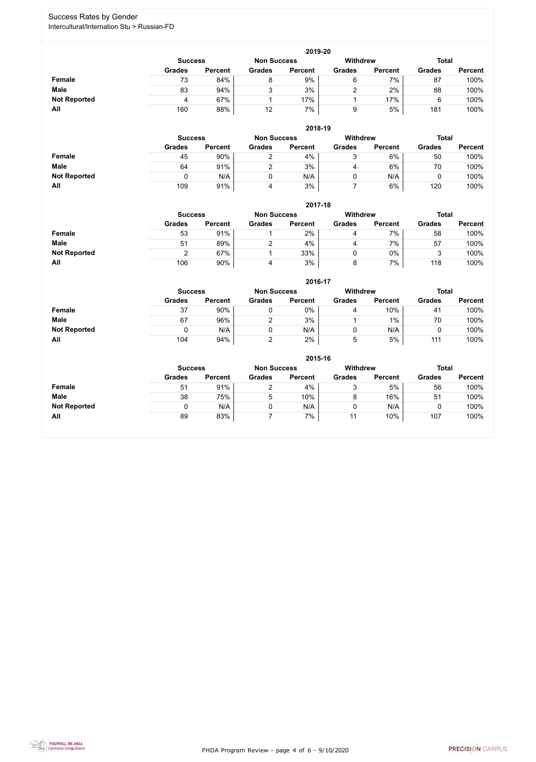FHDA Program Review - page 4 of 6 - 9/10/2020



#### Success Rates by Gender Intercultural/Internation Stu > Russian-FD

|                     | 2019-20                                                                 |                |               |                |               |                |               |                |  |  |  |  |  |
|---------------------|-------------------------------------------------------------------------|----------------|---------------|----------------|---------------|----------------|---------------|----------------|--|--|--|--|--|
|                     | <b>Withdrew</b><br><b>Total</b><br><b>Non Success</b><br><b>Success</b> |                |               |                |               |                |               |                |  |  |  |  |  |
|                     | <b>Grades</b>                                                           | <b>Percent</b> | <b>Grades</b> | <b>Percent</b> | <b>Grades</b> | <b>Percent</b> | <b>Grades</b> | <b>Percent</b> |  |  |  |  |  |
| Female              | 73                                                                      | 84%            |               | 9%             | 6             | 7%             | 87            | 100%           |  |  |  |  |  |
| <b>Male</b>         | 83                                                                      | 94%            |               | 3%             |               | 2%             | 88            | 100%           |  |  |  |  |  |
| <b>Not Reported</b> |                                                                         | 67%            |               | 17%            |               | 17%            | 6             | 100%           |  |  |  |  |  |
| All                 | 160                                                                     | 88%            | 12            | 7%             | 9             | 5%             | 181           | 100%           |  |  |  |  |  |

|                     |               | 2018-19                              |               |                |               |                 |               |                |  |  |  |  |  |  |
|---------------------|---------------|--------------------------------------|---------------|----------------|---------------|-----------------|---------------|----------------|--|--|--|--|--|--|
|                     |               | <b>Non Success</b><br><b>Success</b> |               |                |               | <b>Withdrew</b> | <b>Total</b>  |                |  |  |  |  |  |  |
|                     | <b>Grades</b> | <b>Percent</b>                       | <b>Grades</b> | <b>Percent</b> | <b>Grades</b> | <b>Percent</b>  | <b>Grades</b> | <b>Percent</b> |  |  |  |  |  |  |
| Female              | 45            | 90%                                  |               | 4%             | ບ             | 6%              | 50            | 100%           |  |  |  |  |  |  |
| <b>Male</b>         | 64            | 91%                                  | ົ             | 3%             | 4             | 6%              | 70            | 100%           |  |  |  |  |  |  |
| <b>Not Reported</b> |               | N/A                                  |               | N/A            |               | N/A             |               | 100%           |  |  |  |  |  |  |
| All                 | 109           | 91%                                  | 4             | 3%             |               | 6%              | 120           | 100%           |  |  |  |  |  |  |

|                     | 2017-18                                                                 |                |               |                |               |                |               |                |  |  |  |  |  |
|---------------------|-------------------------------------------------------------------------|----------------|---------------|----------------|---------------|----------------|---------------|----------------|--|--|--|--|--|
|                     | <b>Withdrew</b><br><b>Total</b><br><b>Non Success</b><br><b>Success</b> |                |               |                |               |                |               |                |  |  |  |  |  |
|                     | <b>Grades</b>                                                           | <b>Percent</b> | <b>Grades</b> | <b>Percent</b> | <b>Grades</b> | <b>Percent</b> | <b>Grades</b> | <b>Percent</b> |  |  |  |  |  |
| <b>Female</b>       | 53                                                                      | 91%            |               | 2%             | 4             | 7%             | 58            | 100%           |  |  |  |  |  |
| <b>Male</b>         | 51                                                                      | 89%            | ົ             | 4%             | 4             | 7%             | 57            | 100%           |  |  |  |  |  |
| <b>Not Reported</b> |                                                                         | 67%            |               | 33%            |               | 0%             | 3             | 100%           |  |  |  |  |  |
| <b>All</b>          | 106                                                                     | 90%            | 4             | 3%             | 8             | 7%             | 118           | 100%           |  |  |  |  |  |

|                     |               | 2016-17                              |               |                |               |                 |               |                |  |  |
|---------------------|---------------|--------------------------------------|---------------|----------------|---------------|-----------------|---------------|----------------|--|--|
|                     |               | <b>Non Success</b><br><b>Success</b> |               |                |               | <b>Withdrew</b> | <b>Total</b>  |                |  |  |
|                     | <b>Grades</b> | <b>Percent</b>                       | <b>Grades</b> | <b>Percent</b> | <b>Grades</b> | <b>Percent</b>  | <b>Grades</b> | <b>Percent</b> |  |  |
| <b>Female</b>       | 37            | 90%                                  |               | 0%             | 4             | 10%             | 41            | 100%           |  |  |
| <b>Male</b>         | 67            | 96%                                  | ⌒             | 3%             |               | $1\%$           | 70            | 100%           |  |  |
| <b>Not Reported</b> | 0             | N/A                                  |               | N/A            |               | N/A             |               | 100%           |  |  |
| All                 | 104           | 94%                                  | ∠             | 2%             | $\mathbf b$   | 5%              | 111           | 100%           |  |  |

|                     | 2015-16        |                |                    |                |                 |                |               |                |  |  |
|---------------------|----------------|----------------|--------------------|----------------|-----------------|----------------|---------------|----------------|--|--|
|                     | <b>Success</b> |                | <b>Non Success</b> |                | <b>Withdrew</b> |                | <b>Total</b>  |                |  |  |
|                     | <b>Grades</b>  | <b>Percent</b> | <b>Grades</b>      | <b>Percent</b> | <b>Grades</b>   | <b>Percent</b> | <b>Grades</b> | <b>Percent</b> |  |  |
| <b>Female</b>       | 51             | 91%            | ◠                  | 4%             | 3               | 5%             | 56            | 100%           |  |  |
| <b>Male</b>         | 38             | 75%            | $5\overline{)}$    | 10%            | 8               | 16%            | 51            | 100%           |  |  |
| <b>Not Reported</b> |                | N/A            | $\mathbf{0}$       | N/A            |                 | N/A            |               | 100%           |  |  |
| All                 | 89             | 83%            |                    | 7%             |                 | 10%            | 107           | 100%           |  |  |

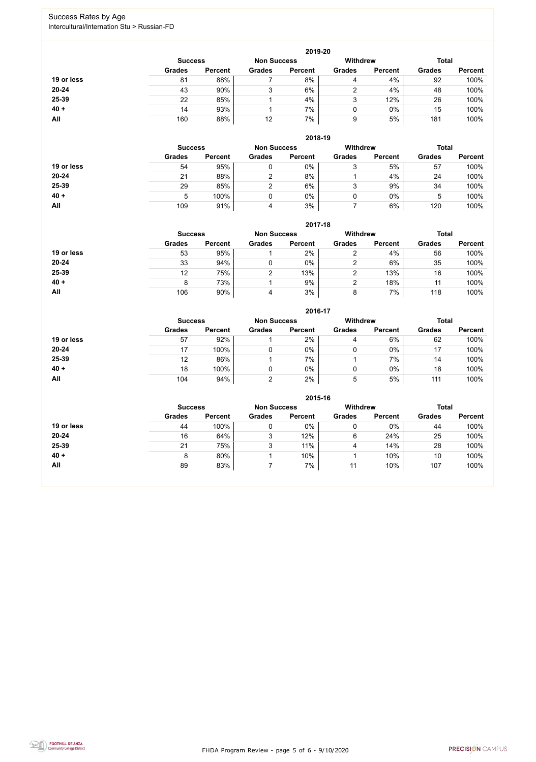FHDA Program Review - page 5 of 6 - 9/10/2020



### Success Rates by Age Intercultural/Internation Stu > Russian-FD

|            | 2019-20        |                    |               |                 |               |                |               |                |  |
|------------|----------------|--------------------|---------------|-----------------|---------------|----------------|---------------|----------------|--|
|            | <b>Success</b> | <b>Non Success</b> |               | <b>Withdrew</b> |               | <b>Total</b>   |               |                |  |
|            | <b>Grades</b>  | <b>Percent</b>     | <b>Grades</b> | <b>Percent</b>  | <b>Grades</b> | <b>Percent</b> | <b>Grades</b> | <b>Percent</b> |  |
| 19 or less | 81             | 88%                |               | 8%              | 4             | 4%             | 92            | 100%           |  |
| 20-24      | 43             | 90%                | 3             | 6%              |               | 4%             | 48            | 100%           |  |
| 25-39      | 22             | 85%                |               | 4%              | ົ<br>ບ        | 12%            | 26            | 100%           |  |
| $40 +$     | 14             | 93%                |               | 7%              | 0             | 0%             | 15            | 100%           |  |
| All        | 160            | 88%                | 12            | 7%              | 9             | 5%             | 181           | 100%           |  |

|            |                |                    |               | 2018-19        |                                 |                |               |                |
|------------|----------------|--------------------|---------------|----------------|---------------------------------|----------------|---------------|----------------|
|            | <b>Success</b> | <b>Non Success</b> |               |                | <b>Withdrew</b><br><b>Total</b> |                |               |                |
|            | <b>Grades</b>  | <b>Percent</b>     | <b>Grades</b> | <b>Percent</b> | <b>Grades</b>                   | <b>Percent</b> | <b>Grades</b> | <b>Percent</b> |
| 19 or less | 54             | 95%                |               | 0%             | 3                               | 5%             | 57            | 100%           |
| $20 - 24$  | 21             | 88%                | ⌒             | 8%             |                                 | 4%             | 24            | 100%           |
| 25-39      | 29             | 85%                |               | 6%             | 3                               | 9%             | 34            | 100%           |
| $40 +$     | 5              | 100%               |               | 0%             |                                 | 0%             | 5             | 100%           |
| All        | 109            | 91%                | 4             | 3%             |                                 | 6%             | 120           | 100%           |

|            | 2017-18                              |                |               |                |                 |                |               |                |  |  |
|------------|--------------------------------------|----------------|---------------|----------------|-----------------|----------------|---------------|----------------|--|--|
|            | <b>Non Success</b><br><b>Success</b> |                |               |                | <b>Withdrew</b> |                | <b>Total</b>  |                |  |  |
|            | <b>Grades</b>                        | <b>Percent</b> | <b>Grades</b> | <b>Percent</b> | <b>Grades</b>   | <b>Percent</b> | <b>Grades</b> | <b>Percent</b> |  |  |
| 19 or less | 53                                   | 95%            |               | 2%             |                 | 4%             | 56            | 100%           |  |  |
| $20 - 24$  | 33                                   | 94%            |               | $0\%$          | າ               | 6%             | 35            | 100%           |  |  |
| 25-39      | 12                                   | 75%            | າ             | 13%            | ⌒               | 13%            | 16            | 100%           |  |  |
| $40 +$     | 8                                    | 73%            |               | 9%             | ◠               | 18%            | 11            | 100%           |  |  |
| All        | 106                                  | 90%            |               | 3%             | 8               | 7%             | 118           | 100%           |  |  |

|            | 2016-17        |                |               |                    |               |                                 |               |                |  |  |
|------------|----------------|----------------|---------------|--------------------|---------------|---------------------------------|---------------|----------------|--|--|
|            | <b>Success</b> |                |               | <b>Non Success</b> |               | <b>Total</b><br><b>Withdrew</b> |               |                |  |  |
|            | <b>Grades</b>  | <b>Percent</b> | <b>Grades</b> | <b>Percent</b>     | <b>Grades</b> | <b>Percent</b>                  | <b>Grades</b> | <b>Percent</b> |  |  |
| 19 or less | 57             | 92%            |               | 2%                 | 4             | 6%                              | 62            | 100%           |  |  |
| $20 - 24$  | 17             | 100%           |               | 0%                 | 0             | 0%                              | 17            | 100%           |  |  |
| 25-39      | 12             | 86%            |               | 7%                 |               | 7%                              | 14            | 100%           |  |  |
| $40 +$     | 18             | 100%           |               | 0%                 | 0             | $0\%$                           | 18            | 100%           |  |  |
| All        | 104            | 94%            | າ             | 2%                 | 5             | 5%                              | 111           | 100%           |  |  |

|            | 2015-16                              |                |               |                 |               |                |               |                |  |  |
|------------|--------------------------------------|----------------|---------------|-----------------|---------------|----------------|---------------|----------------|--|--|
|            | <b>Non Success</b><br><b>Success</b> |                |               | <b>Withdrew</b> |               | <b>Total</b>   |               |                |  |  |
|            | <b>Grades</b>                        | <b>Percent</b> | <b>Grades</b> | <b>Percent</b>  | <b>Grades</b> | <b>Percent</b> | <b>Grades</b> | <b>Percent</b> |  |  |
| 19 or less | 44                                   | 100%           | υ             | 0%              |               | 0%             | 44            | 100%           |  |  |
| $20 - 24$  | 16                                   | 64%            | 3             | 12%             | 6             | 24%            | 25            | 100%           |  |  |
| 25-39      | 21                                   | 75%            | 3             | 11%             | 4             | 14%            | 28            | 100%           |  |  |
| $40 +$     | 8                                    | 80%            |               | 10%             |               | 10%            | 10            | 100%           |  |  |
| All        | 89                                   | 83%            |               | 7%              | Ή             | 10%            | 107           | 100%           |  |  |